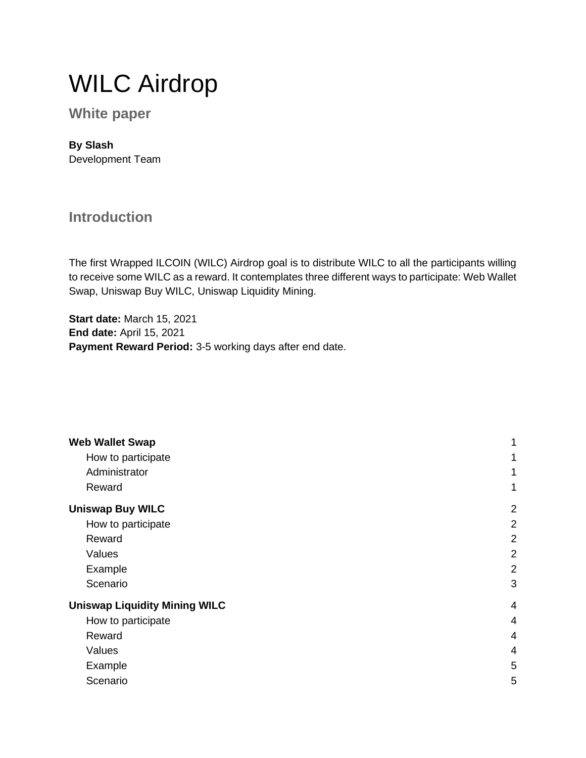# WILC Airdrop

#### **White paper**

#### **By Slash**

Development Team

#### **Introduction**

The first Wrapped ILCOIN (WILC) Airdrop goal is to distribute WILC to all the participants willing to receive some WILC as a reward. It contemplates three different ways to participate: Web Wallet Swap, Uniswap Buy WILC, Uniswap Liquidity Mining.

**Start date:** March 15, 2021 **End date:** April 15, 2021 **Payment Reward Period:** 3-5 working days after end date.

| <b>Web Wallet Swap</b>               | 1              |
|--------------------------------------|----------------|
| How to participate                   | 1              |
| Administrator                        | 1              |
| Reward                               | 1              |
| <b>Uniswap Buy WILC</b>              | $\overline{2}$ |
| How to participate                   | $\overline{2}$ |
| Reward                               | $\overline{2}$ |
| Values                               | $\overline{2}$ |
| Example                              | $\overline{2}$ |
| Scenario                             | 3              |
| <b>Uniswap Liquidity Mining WILC</b> | $\overline{4}$ |
| How to participate                   | 4              |
| Reward                               | 4              |
| Values                               | 4              |
| Example                              | 5              |
| Scenario                             | 5              |
|                                      |                |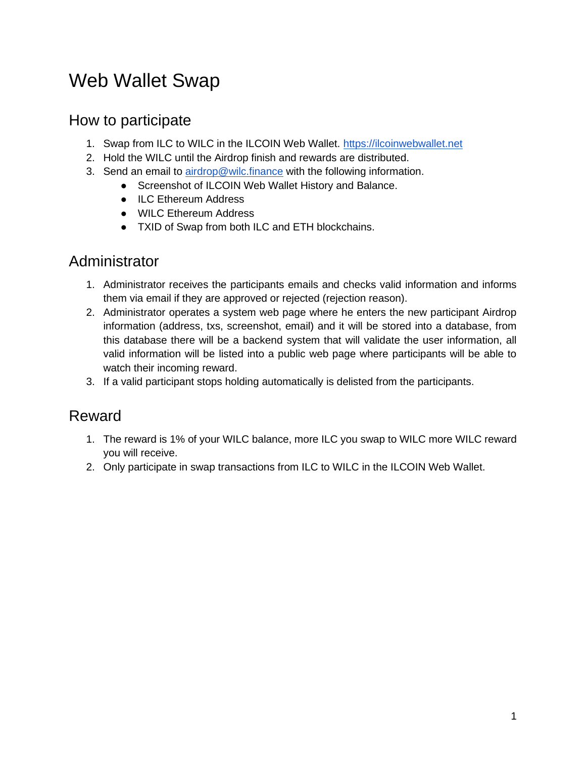## <span id="page-1-0"></span>Web Wallet Swap

#### <span id="page-1-1"></span>How to participate

- 1. Swap from ILC to WILC in the ILCOIN Web Wallet. [https://ilcoinwebwallet.net](https://ilcoinwebwallet.net/)
- 2. Hold the WILC until the Airdrop finish and rewards are distributed.
- 3. Send an email to [airdrop@wilc.finance](http://airdrop@wilc.finance) with the following information.
	- Screenshot of ILCOIN Web Wallet History and Balance.
		- ILC Ethereum Address
		- WILC Ethereum Address
		- TXID of Swap from both ILC and ETH blockchains.

#### <span id="page-1-2"></span>Administrator

- 1. Administrator receives the participants emails and checks valid information and informs them via email if they are approved or rejected (rejection reason).
- 2. Administrator operates a system web page where he enters the new participant Airdrop information (address, txs, screenshot, email) and it will be stored into a database, from this database there will be a backend system that will validate the user information, all valid information will be listed into a public web page where participants will be able to watch their incoming reward.
- 3. If a valid participant stops holding automatically is delisted from the participants.

#### <span id="page-1-3"></span>Reward

- 1. The reward is 1% of your WILC balance, more ILC you swap to WILC more WILC reward you will receive.
- 2. Only participate in swap transactions from ILC to WILC in the ILCOIN Web Wallet.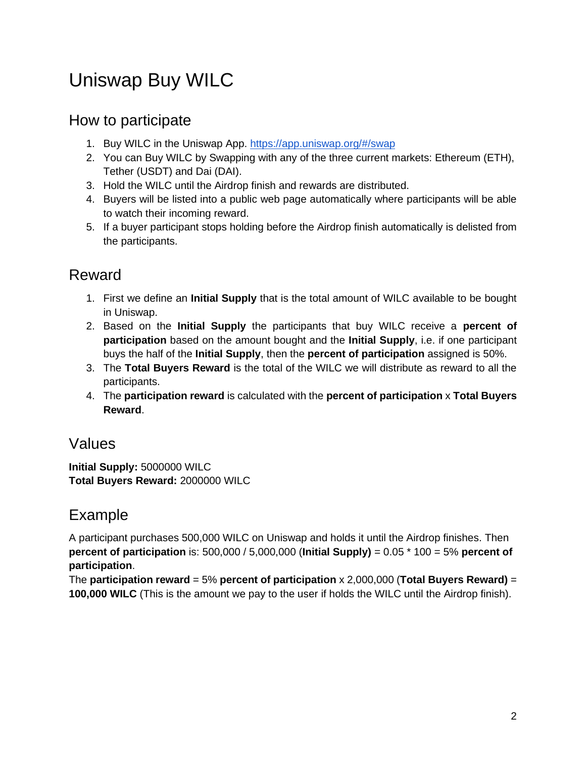## <span id="page-2-0"></span>Uniswap Buy WILC

#### <span id="page-2-1"></span>How to participate

- 1. Buy WILC in the Uniswap App.<https://app.uniswap.org/#/swap>
- 2. You can Buy WILC by Swapping with any of the three current markets: Ethereum (ETH), Tether (USDT) and Dai (DAI).
- 3. Hold the WILC until the Airdrop finish and rewards are distributed.
- 4. Buyers will be listed into a public web page automatically where participants will be able to watch their incoming reward.
- 5. If a buyer participant stops holding before the Airdrop finish automatically is delisted from the participants.

### <span id="page-2-2"></span>Reward

- 1. First we define an **Initial Supply** that is the total amount of WILC available to be bought in Uniswap.
- 2. Based on the **Initial Supply** the participants that buy WILC receive a **percent of participation** based on the amount bought and the **Initial Supply**, i.e. if one participant buys the half of the **Initial Supply**, then the **percent of participation** assigned is 50%.
- 3. The **Total Buyers Reward** is the total of the WILC we will distribute as reward to all the participants.
- 4. The **participation reward** is calculated with the **percent of participation** x **Total Buyers Reward**.

#### <span id="page-2-3"></span>Values

**Initial Supply:** 5000000 WILC **Total Buyers Reward:** 2000000 WILC

### <span id="page-2-4"></span>Example

A participant purchases 500,000 WILC on Uniswap and holds it until the Airdrop finishes. Then **percent of participation** is: 500,000 / 5,000,000 (**Initial Supply)** = 0.05 \* 100 = 5% **percent of participation**.

The **participation reward** = 5% **percent of participation** x 2,000,000 (**Total Buyers Reward)** = **100,000 WILC** (This is the amount we pay to the user if holds the WILC until the Airdrop finish).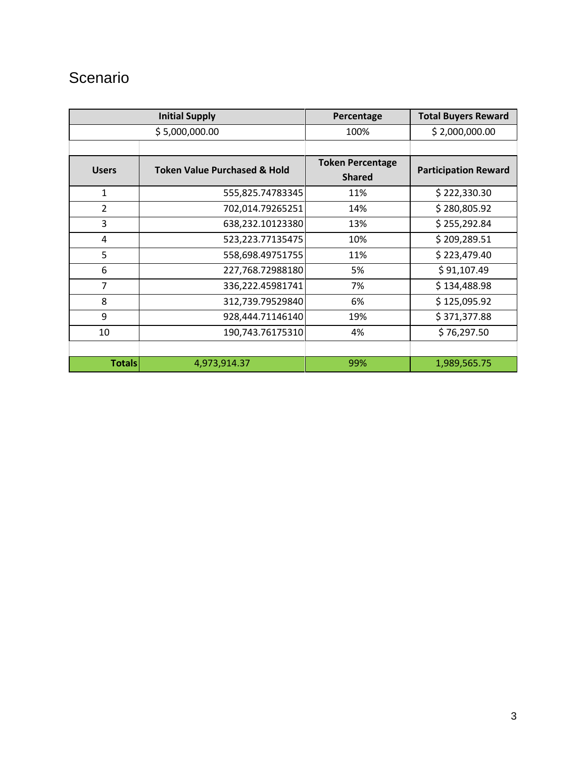### <span id="page-3-0"></span>**Scenario**

|                | <b>Initial Supply</b>                   | Percentage              | <b>Total Buyers Reward</b>  |
|----------------|-----------------------------------------|-------------------------|-----------------------------|
|                | \$5,000,000.00                          | 100%                    | \$2,000,000.00              |
|                |                                         |                         |                             |
| <b>Users</b>   | <b>Token Value Purchased &amp; Hold</b> | <b>Token Percentage</b> | <b>Participation Reward</b> |
|                |                                         | <b>Shared</b>           |                             |
| $\mathbf{1}$   | 555,825.74783345                        | 11%                     | \$222,330.30                |
| $\overline{2}$ | 702,014.79265251                        | 14%                     | \$280,805.92                |
| 3              | 638,232.10123380                        | 13%                     | \$255,292.84                |
| 4              | 523,223.77135475                        | 10%                     | \$209,289.51                |
| 5              | 558,698.49751755                        | 11%                     | \$223,479.40                |
| 6              | 227,768.72988180                        | 5%                      | \$91,107.49                 |
| $\overline{7}$ | 336,222.45981741                        | 7%                      | \$134,488.98                |
| 8              | 312,739.79529840                        | 6%                      | \$125,095.92                |
| 9              | 928,444.71146140                        | 19%                     | \$371,377.88                |
| 10             | 190,743.76175310                        | 4%                      | \$76,297.50                 |
|                |                                         |                         |                             |
| <b>Totals</b>  | 4,973,914.37                            | 99%                     | 1,989,565.75                |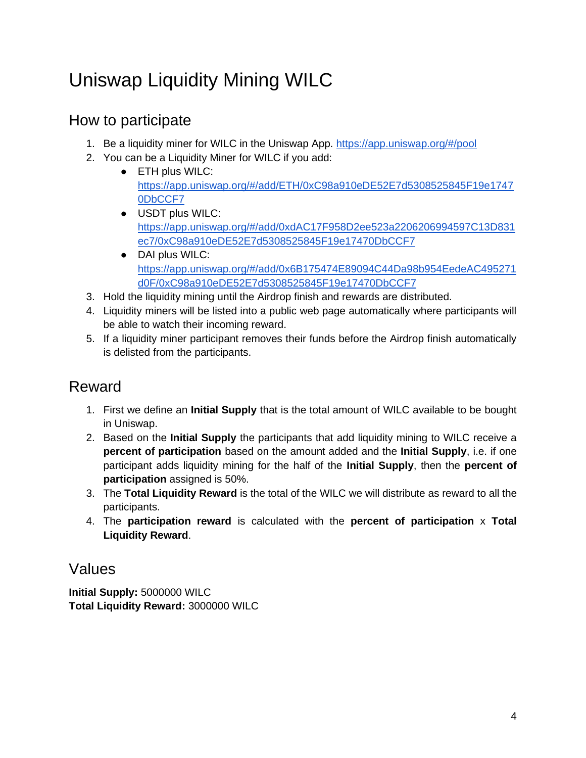## <span id="page-4-0"></span>Uniswap Liquidity Mining WILC

#### <span id="page-4-1"></span>How to participate

- 1. Be a liquidity miner for WILC in the Uniswap App.<https://app.uniswap.org/#/pool>
- 2. You can be a Liquidity Miner for WILC if you add:
	- ETH plus WILC: [https://app.uniswap.org/#/add/ETH/0xC98a910eDE52E7d5308525845F19e1747](https://app.uniswap.org/#/add/ETH/0xC98a910eDE52E7d5308525845F19e17470DbCCF7) [0DbCCF7](https://app.uniswap.org/#/add/ETH/0xC98a910eDE52E7d5308525845F19e17470DbCCF7)
	- USDT plus WILC: [https://app.uniswap.org/#/add/0xdAC17F958D2ee523a2206206994597C13D831](https://app.uniswap.org/#/add/0xdAC17F958D2ee523a2206206994597C13D831ec7/0xC98a910eDE52E7d5308525845F19e17470DbCCF7) [ec7/0xC98a910eDE52E7d5308525845F19e17470DbCCF7](https://app.uniswap.org/#/add/0xdAC17F958D2ee523a2206206994597C13D831ec7/0xC98a910eDE52E7d5308525845F19e17470DbCCF7)
	- DAI plus WILC: [https://app.uniswap.org/#/add/0x6B175474E89094C44Da98b954EedeAC495271](https://app.uniswap.org/#/add/0x6B175474E89094C44Da98b954EedeAC495271d0F/0xC98a910eDE52E7d5308525845F19e17470DbCCF7) [d0F/0xC98a910eDE52E7d5308525845F19e17470DbCCF7](https://app.uniswap.org/#/add/0x6B175474E89094C44Da98b954EedeAC495271d0F/0xC98a910eDE52E7d5308525845F19e17470DbCCF7)
- 3. Hold the liquidity mining until the Airdrop finish and rewards are distributed.
- 4. Liquidity miners will be listed into a public web page automatically where participants will be able to watch their incoming reward.
- 5. If a liquidity miner participant removes their funds before the Airdrop finish automatically is delisted from the participants.

### <span id="page-4-2"></span>Reward

- 1. First we define an **Initial Supply** that is the total amount of WILC available to be bought in Uniswap.
- 2. Based on the **Initial Supply** the participants that add liquidity mining to WILC receive a **percent of participation** based on the amount added and the **Initial Supply**, i.e. if one participant adds liquidity mining for the half of the **Initial Supply**, then the **percent of participation** assigned is 50%.
- 3. The **Total Liquidity Reward** is the total of the WILC we will distribute as reward to all the participants.
- 4. The **participation reward** is calculated with the **percent of participation** x **Total Liquidity Reward**.

#### <span id="page-4-3"></span>Values

**Initial Supply:** 5000000 WILC **Total Liquidity Reward:** 3000000 WILC